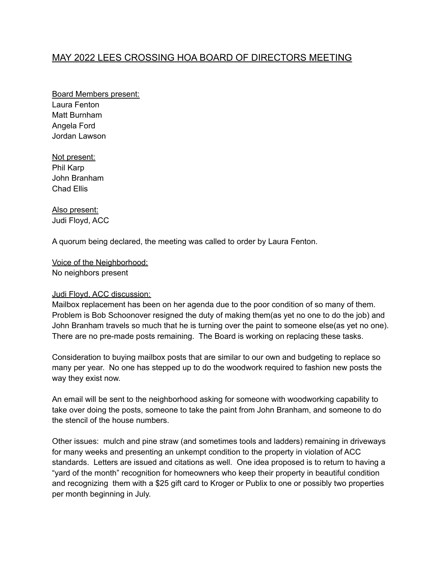# MAY 2022 LEES CROSSING HOA BOARD OF DIRECTORS MEETING

Board Members present: Laura Fenton Matt Burnham Angela Ford Jordan Lawson

Not present: Phil Karp John Branham Chad Ellis

Also present: Judi Floyd, ACC

A quorum being declared, the meeting was called to order by Laura Fenton.

Voice of the Neighborhood: No neighbors present

# Judi Floyd, ACC discussion:

Mailbox replacement has been on her agenda due to the poor condition of so many of them. Problem is Bob Schoonover resigned the duty of making them(as yet no one to do the job) and John Branham travels so much that he is turning over the paint to someone else(as yet no one). There are no pre-made posts remaining. The Board is working on replacing these tasks.

Consideration to buying mailbox posts that are similar to our own and budgeting to replace so many per year. No one has stepped up to do the woodwork required to fashion new posts the way they exist now.

An email will be sent to the neighborhood asking for someone with woodworking capability to take over doing the posts, someone to take the paint from John Branham, and someone to do the stencil of the house numbers.

Other issues: mulch and pine straw (and sometimes tools and ladders) remaining in driveways for many weeks and presenting an unkempt condition to the property in violation of ACC standards. Letters are issued and citations as well. One idea proposed is to return to having a "yard of the month" recognition for homeowners who keep their property in beautiful condition and recognizing them with a \$25 gift card to Kroger or Publix to one or possibly two properties per month beginning in July.